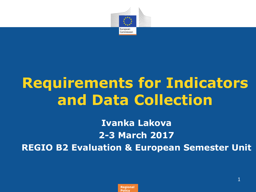

## **Requirements for Indicators and Data Collection**

**Ivanka Lakova 2-3 March 2017 REGIO B2 Evaluation & European Semester Unit**

> Regional **Regional** Policy **Policy**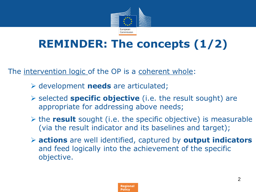

### **REMINDER: The concepts (1/2)**

The intervention logic of the OP is a coherent whole:

- development **needs** are articulated;
- selected **specific objective** (i.e. the result sought) are appropriate for addressing above needs;
- $\triangleright$  the **result** sought (i.e. the specific objective) is measurable (via the result indicator and its baselines and target);
- **actions** are well identified, captured by **output indicators**  and feed logically into the achievement of the specific objective.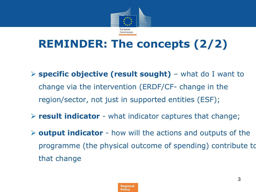

### **REMINDER: The concepts (2/2)**

- **specific objective (result sought)**  what do I want to change via the intervention (ERDF/CF- change in the region/sector, not just in supported entities (ESF);
- **result indicator** what indicator captures that change;
- **output indicator**  how will the actions and outputs of the programme (the physical outcome of spending) contribute to that change

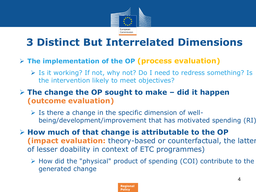

### **3 Distinct But Interrelated Dimensions**

#### **The implementation of the OP (process evaluation)**

 $\triangleright$  Is it working? If not, why not? Do I need to redress something? Is the intervention likely to meet objectives?

#### **The change the OP sought to make – did it happen (outcome evaluation)**

- $\triangleright$  Is there a change in the specific dimension of wellbeing/development/improvement that has motivated spending (RI)
- **How much of that change is attributable to the OP (impact evaluation:** theory-based or counterfactual, the latter of lesser doability in context of ETC programmes)
	- $\triangleright$  How did the "physical" product of spending (COI) contribute to the generated change

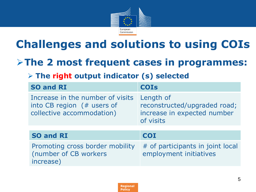

### **Challenges and solutions to using COIs**

### **The 2 most frequent cases in programmes:**

#### **The right output indicator (s) selected**

(number of CB workers

increase)

| <b>SO and RI</b>                                                                             | <b>COIs</b>                                                                           |
|----------------------------------------------------------------------------------------------|---------------------------------------------------------------------------------------|
| Increase in the number of visits<br>into CB region $#$ users of<br>collective accommodation) | Length of<br>reconstructed/upgraded road;<br>increase in expected number<br>of visits |
|                                                                                              |                                                                                       |
| <b>SO and RI</b>                                                                             | <b>COI</b>                                                                            |
| Promoting cross border mobility                                                              | # of participants in joint local                                                      |

employment initiatives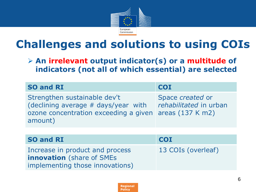

### **Challenges and solutions to using COIs**

 **An irrelevant output indicator(s) or a multitude of indicators (not all of which essential) are selected**

| <b>SO and RI</b>                                                                                                        | <b>COI</b>                                                       |
|-------------------------------------------------------------------------------------------------------------------------|------------------------------------------------------------------|
| Strengthen sustainable dev't<br>(declining average # days/year with<br>ozone concentration exceeding a given<br>amount) | Space created or<br>rehabilitated in urban<br>areas $(137 K m2)$ |
|                                                                                                                         |                                                                  |
| <b>SO and RI</b>                                                                                                        | <b>COI</b>                                                       |
| Increase in product and process<br><b>innovation</b> (share of SMEs<br>implementing those innovations)                  | 13 COIs (overleaf)                                               |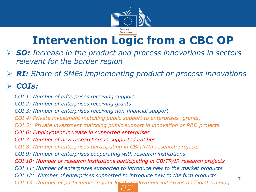

### **Intervention Logic from a CBC OP**

- *SO: Increase in the product and process innovations in sectors relevant for the border region*
- *RI: Share of SMEs implementing product or process innovations*

#### *COIs:*

- *COI 1: Number of enterprises receiving support* .
	- *COI 2: Number of enterprises receiving grants*
	- *COI 3: Number of enterprises receiving non-financial support*
	- *COI 4: Private investment matching public support to enterprises (grants)*
	- *COI 5: Private investment matching public support in innovation or R&D projects*
	- *COI 6: Employment increase in supported enterprises*
	- *COI 7: Number of new researchers in supported entities*
	- *COI 8: Number of enterprises participating in CB/TR/IR research projects*
	- *COI 9: Number of enterprises cooperating with research institutions*
	- *COI 10: Number of research institutions participating in CB/TR/IR research projects*
	- *COI 11: Number of enterprises supported to introduce new to the market products*
	- *COI 12: Number of enterprises supported to introduce new to the firm products*

COI 13: Number of participants in joint local employment initiatives and joint training

Policy **Policy**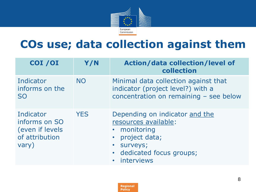

### **COs use; data collection against them**

| COI / OI                                                                 | Y/N        | <b>Action/data collection/level of</b><br>collection                                                                                                                   |
|--------------------------------------------------------------------------|------------|------------------------------------------------------------------------------------------------------------------------------------------------------------------------|
| Indicator<br>informs on the<br><b>SO</b>                                 | <b>NO</b>  | Minimal data collection against that<br>indicator (project level?) with a<br>concentration on remaining - see below                                                    |
| Indicator<br>informs on SO<br>(even if levels<br>of attribution<br>vary) | <b>YES</b> | Depending on indicator and the<br>resources available:<br>monitoring<br>· project data;<br>surveys;<br>$\bullet$<br>dedicated focus groups;<br>$\bullet$<br>interviews |